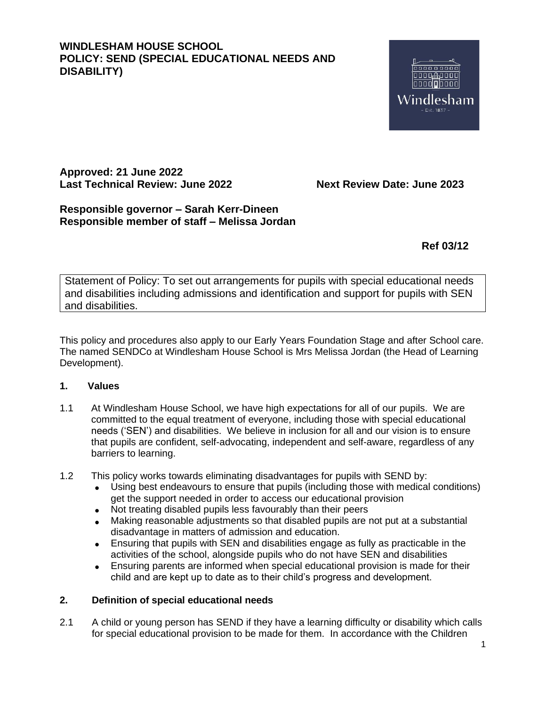# **WINDLESHAM HOUSE SCHOOL POLICY: SEND (SPECIAL EDUCATIONAL NEEDS AND DISABILITY)**



**Approved: 21 June 2022 Last Technical Review: June 2022 Next Review Date: June 2023**

# **Responsible governor – Sarah Kerr-Dineen Responsible member of staff – Melissa Jordan**

**Ref 03/12**

Statement of Policy: To set out arrangements for pupils with special educational needs and disabilities including admissions and identification and support for pupils with SEN and disabilities.

This policy and procedures also apply to our Early Years Foundation Stage and after School care. The named SENDCo at Windlesham House School is Mrs Melissa Jordan (the Head of Learning Development).

### **1. Values**

- 1.1 At Windlesham House School, we have high expectations for all of our pupils. We are committed to the equal treatment of everyone, including those with special educational needs ('SEN') and disabilities. We believe in inclusion for all and our vision is to ensure that pupils are confident, self-advocating, independent and self-aware, regardless of any barriers to learning.
- 1.2 This policy works towards eliminating disadvantages for pupils with SEND by:
	- Using best endeavours to ensure that pupils (including those with medical conditions) get the support needed in order to access our educational provision
	- Not treating disabled pupils less favourably than their peers
	- Making reasonable adjustments so that disabled pupils are not put at a substantial disadvantage in matters of admission and education.
	- Ensuring that pupils with SEN and disabilities engage as fully as practicable in the activities of the school, alongside pupils who do not have SEN and disabilities
	- Ensuring parents are informed when special educational provision is made for their child and are kept up to date as to their child's progress and development.

### **2. Definition of special educational needs**

2.1 A child or young person has SEND if they have a learning difficulty or disability which calls for special educational provision to be made for them. In accordance with the Children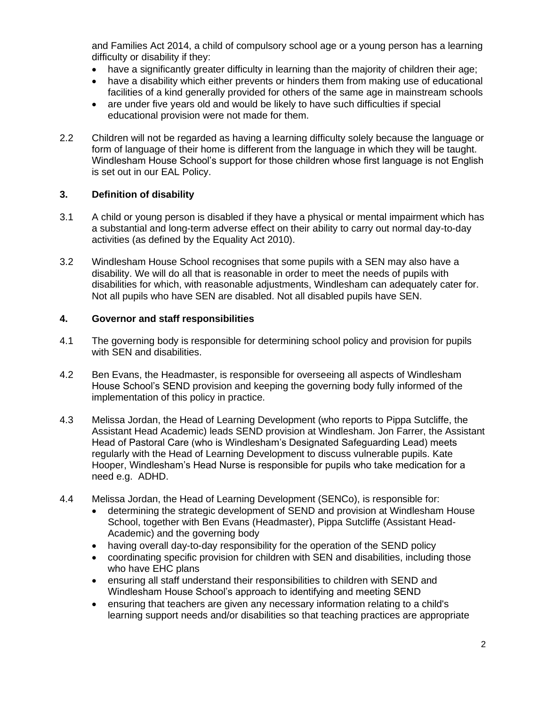and Families Act 2014, a child of compulsory school age or a young person has a learning difficulty or disability if they:

- have a significantly greater difficulty in learning than the majority of children their age;
- have a disability which either prevents or hinders them from making use of educational facilities of a kind generally provided for others of the same age in mainstream schools
- are under five years old and would be likely to have such difficulties if special educational provision were not made for them.
- 2.2 Children will not be regarded as having a learning difficulty solely because the language or form of language of their home is different from the language in which they will be taught. Windlesham House School's support for those children whose first language is not English is set out in our EAL Policy.

## **3. Definition of disability**

- 3.1 A child or young person is disabled if they have a physical or mental impairment which has a substantial and long-term adverse effect on their ability to carry out normal day-to-day activities (as defined by the Equality Act 2010).
- 3.2 Windlesham House School recognises that some pupils with a SEN may also have a disability. We will do all that is reasonable in order to meet the needs of pupils with disabilities for which, with reasonable adjustments, Windlesham can adequately cater for. Not all pupils who have SEN are disabled. Not all disabled pupils have SEN.

### **4. Governor and staff responsibilities**

- 4.1 The governing body is responsible for determining school policy and provision for pupils with SEN and disabilities.
- 4.2 Ben Evans, the Headmaster, is responsible for overseeing all aspects of Windlesham House School's SEND provision and keeping the governing body fully informed of the implementation of this policy in practice.
- 4.3 Melissa Jordan, the Head of Learning Development (who reports to Pippa Sutcliffe, the Assistant Head Academic) leads SEND provision at Windlesham. Jon Farrer, the Assistant Head of Pastoral Care (who is Windlesham's Designated Safeguarding Lead) meets regularly with the Head of Learning Development to discuss vulnerable pupils. Kate Hooper, Windlesham's Head Nurse is responsible for pupils who take medication for a need e.g. ADHD.
- 4.4 Melissa Jordan, the Head of Learning Development (SENCo), is responsible for:
	- determining the strategic development of SEND and provision at Windlesham House School, together with Ben Evans (Headmaster), Pippa Sutcliffe (Assistant Head-Academic) and the governing body
	- having overall day-to-day responsibility for the operation of the SEND policy
	- coordinating specific provision for children with SEN and disabilities, including those who have EHC plans
	- ensuring all staff understand their responsibilities to children with SEND and Windlesham House School's approach to identifying and meeting SEND
	- ensuring that teachers are given any necessary information relating to a child's learning support needs and/or disabilities so that teaching practices are appropriate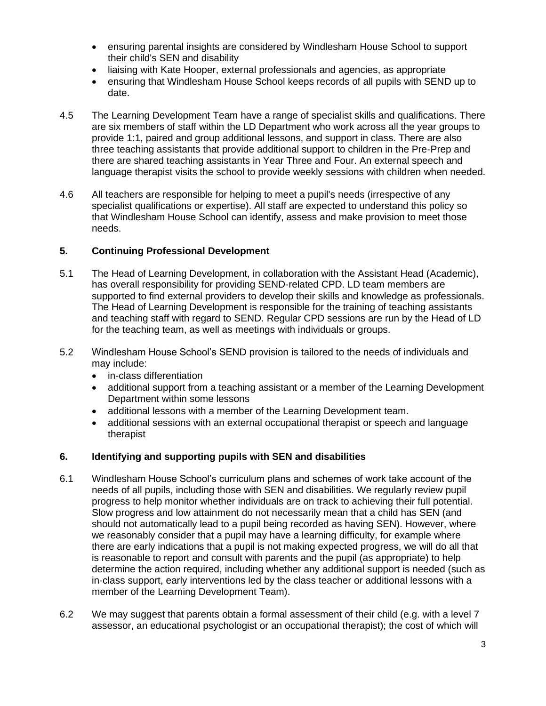- ensuring parental insights are considered by Windlesham House School to support their child's SEN and disability
- liaising with Kate Hooper, external professionals and agencies, as appropriate
- ensuring that Windlesham House School keeps records of all pupils with SEND up to date.
- 4.5 The Learning Development Team have a range of specialist skills and qualifications. There are six members of staff within the LD Department who work across all the year groups to provide 1:1, paired and group additional lessons, and support in class. There are also three teaching assistants that provide additional support to children in the Pre-Prep and there are shared teaching assistants in Year Three and Four. An external speech and language therapist visits the school to provide weekly sessions with children when needed.
- 4.6 All teachers are responsible for helping to meet a pupil's needs (irrespective of any specialist qualifications or expertise). All staff are expected to understand this policy so that Windlesham House School can identify, assess and make provision to meet those needs.

### **5. Continuing Professional Development**

- 5.1 The Head of Learning Development, in collaboration with the Assistant Head (Academic), has overall responsibility for providing SEND-related CPD. LD team members are supported to find external providers to develop their skills and knowledge as professionals. The Head of Learning Development is responsible for the training of teaching assistants and teaching staff with regard to SEND. Regular CPD sessions are run by the Head of LD for the teaching team, as well as meetings with individuals or groups.
- 5.2 Windlesham House School's SEND provision is tailored to the needs of individuals and may include:
	- in-class differentiation
	- additional support from a teaching assistant or a member of the Learning Development Department within some lessons
	- additional lessons with a member of the Learning Development team.
	- additional sessions with an external occupational therapist or speech and language therapist

### **6. Identifying and supporting pupils with SEN and disabilities**

- 6.1 Windlesham House School's curriculum plans and schemes of work take account of the needs of all pupils, including those with SEN and disabilities. We regularly review pupil progress to help monitor whether individuals are on track to achieving their full potential. Slow progress and low attainment do not necessarily mean that a child has SEN (and should not automatically lead to a pupil being recorded as having SEN). However, where we reasonably consider that a pupil may have a learning difficulty, for example where there are early indications that a pupil is not making expected progress, we will do all that is reasonable to report and consult with parents and the pupil (as appropriate) to help determine the action required, including whether any additional support is needed (such as in-class support, early interventions led by the class teacher or additional lessons with a member of the Learning Development Team).
- 6.2 We may suggest that parents obtain a formal assessment of their child (e.g. with a level 7 assessor, an educational psychologist or an occupational therapist); the cost of which will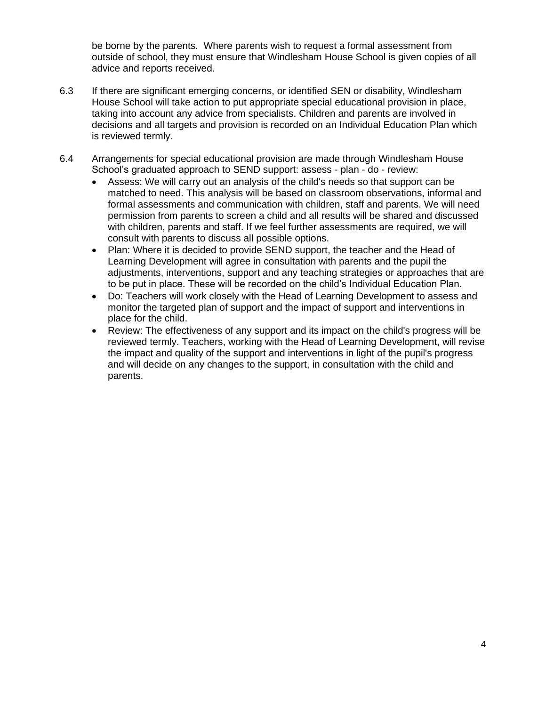be borne by the parents. Where parents wish to request a formal assessment from outside of school, they must ensure that Windlesham House School is given copies of all advice and reports received.

- 6.3 If there are significant emerging concerns, or identified SEN or disability, Windlesham House School will take action to put appropriate special educational provision in place, taking into account any advice from specialists. Children and parents are involved in decisions and all targets and provision is recorded on an Individual Education Plan which is reviewed termly.
- 6.4 Arrangements for special educational provision are made through Windlesham House School's graduated approach to SEND support: assess - plan - do - review:
	- Assess: We will carry out an analysis of the child's needs so that support can be matched to need. This analysis will be based on classroom observations, informal and formal assessments and communication with children, staff and parents. We will need permission from parents to screen a child and all results will be shared and discussed with children, parents and staff. If we feel further assessments are required, we will consult with parents to discuss all possible options.
	- Plan: Where it is decided to provide SEND support, the teacher and the Head of Learning Development will agree in consultation with parents and the pupil the adjustments, interventions, support and any teaching strategies or approaches that are to be put in place. These will be recorded on the child's Individual Education Plan.
	- Do: Teachers will work closely with the Head of Learning Development to assess and monitor the targeted plan of support and the impact of support and interventions in place for the child.
	- Review: The effectiveness of any support and its impact on the child's progress will be reviewed termly. Teachers, working with the Head of Learning Development, will revise the impact and quality of the support and interventions in light of the pupil's progress and will decide on any changes to the support, in consultation with the child and parents.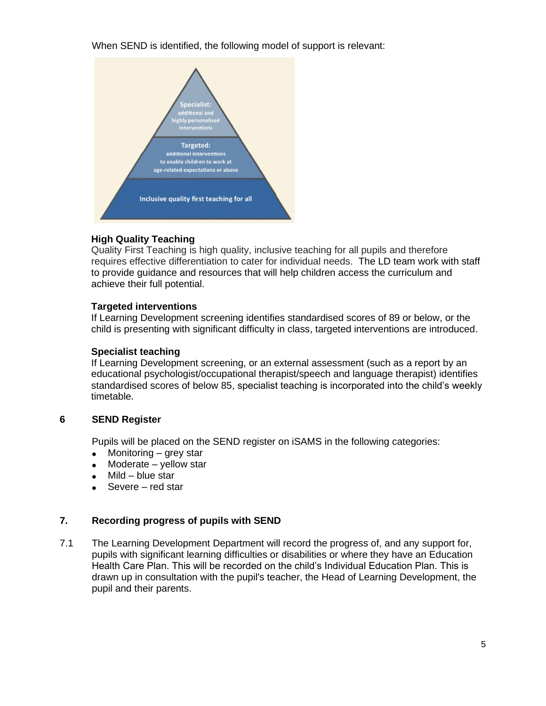When SEND is identified, the following model of support is relevant:



# **High Quality Teaching**

Quality First Teaching is high quality, inclusive teaching for all pupils and therefore requires effective differentiation to cater for individual needs. The LD team work with staff to provide guidance and resources that will help children access the curriculum and achieve their full potential.

# **Targeted interventions**

If Learning Development screening identifies standardised scores of 89 or below, or the child is presenting with significant difficulty in class, targeted interventions are introduced.

## **Specialist teaching**

If Learning Development screening, or an external assessment (such as a report by an educational psychologist/occupational therapist/speech and language therapist) identifies standardised scores of below 85, specialist teaching is incorporated into the child's weekly timetable.

# **6 SEND Register**

Pupils will be placed on the SEND register on iSAMS in the following categories:

- Monitoring  $-$  grey star
- Moderate yellow star
- $Mild blue star$
- Severe red star

# **7. Recording progress of pupils with SEND**

7.1 The Learning Development Department will record the progress of, and any support for, pupils with significant learning difficulties or disabilities or where they have an Education Health Care Plan. This will be recorded on the child's Individual Education Plan. This is drawn up in consultation with the pupil's teacher, the Head of Learning Development, the pupil and their parents.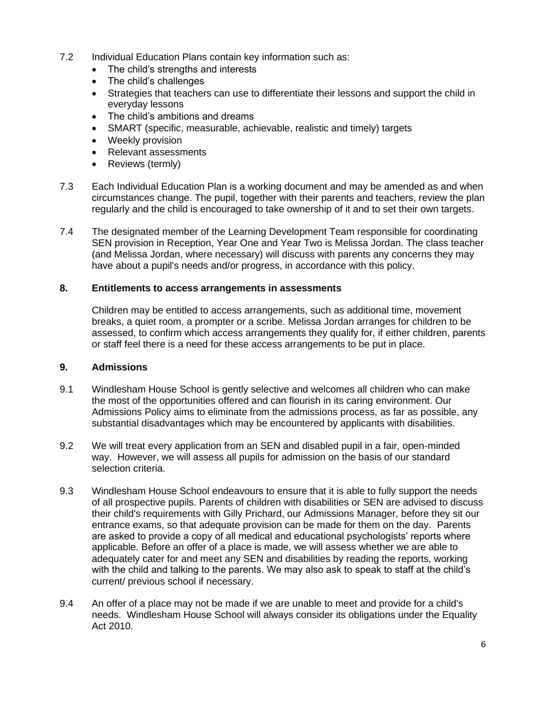- 7.2 Individual Education Plans contain key information such as:
	- The child's strengths and interests
	- The child's challenges
	- Strategies that teachers can use to differentiate their lessons and support the child in everyday lessons
	- The child's ambitions and dreams
	- SMART (specific, measurable, achievable, realistic and timely) targets
	- Weekly provision
	- Relevant assessments
	- Reviews (termly)
- 7.3 Each Individual Education Plan is a working document and may be amended as and when circumstances change. The pupil, together with their parents and teachers, review the plan regularly and the child is encouraged to take ownership of it and to set their own targets.
- 7.4 The designated member of the Learning Development Team responsible for coordinating SEN provision in Reception, Year One and Year Two is Melissa Jordan. The class teacher (and Melissa Jordan, where necessary) will discuss with parents any concerns they may have about a pupil's needs and/or progress, in accordance with this policy.

### **8. Entitlements to access arrangements in assessments**

Children may be entitled to access arrangements, such as additional time, movement breaks, a quiet room, a prompter or a scribe. Melissa Jordan arranges for children to be assessed, to confirm which access arrangements they qualify for, if either children, parents or staff feel there is a need for these access arrangements to be put in place.

### **9. Admissions**

- 9.1 Windlesham House School is gently selective and welcomes all children who can make the most of the opportunities offered and can flourish in its caring environment. Our Admissions Policy aims to eliminate from the admissions process, as far as possible, any substantial disadvantages which may be encountered by applicants with disabilities.
- 9.2 We will treat every application from an SEN and disabled pupil in a fair, open-minded way. However, we will assess all pupils for admission on the basis of our standard selection criteria.
- 9.3 Windlesham House School endeavours to ensure that it is able to fully support the needs of all prospective pupils. Parents of children with disabilities or SEN are advised to discuss their child's requirements with Gilly Prichard, our Admissions Manager, before they sit our entrance exams, so that adequate provision can be made for them on the day. Parents are asked to provide a copy of all medical and educational psychologists' reports where applicable. Before an offer of a place is made, we will assess whether we are able to adequately cater for and meet any SEN and disabilities by reading the reports, working with the child and talking to the parents. We may also ask to speak to staff at the child's current/ previous school if necessary.
- 9.4 An offer of a place may not be made if we are unable to meet and provide for a child's needs. Windlesham House School will always consider its obligations under the Equality Act 2010.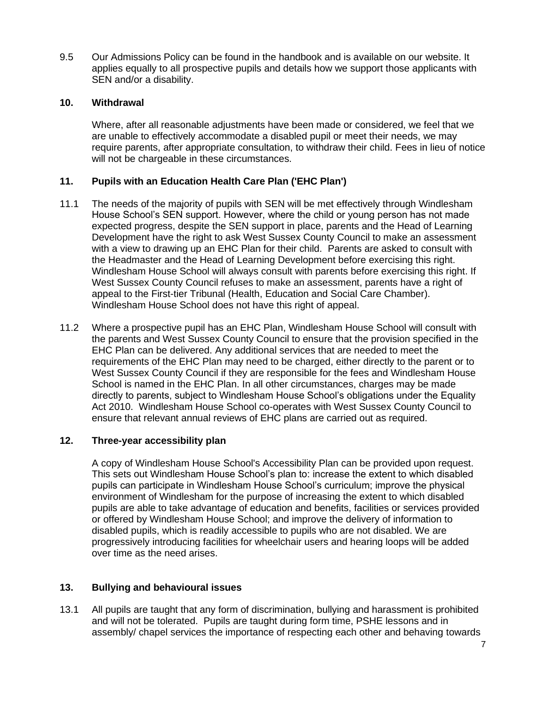9.5 Our Admissions Policy can be found in the handbook and is available on our website. It applies equally to all prospective pupils and details how we support those applicants with SEN and/or a disability.

### **10. Withdrawal**

Where, after all reasonable adjustments have been made or considered, we feel that we are unable to effectively accommodate a disabled pupil or meet their needs, we may require parents, after appropriate consultation, to withdraw their child. Fees in lieu of notice will not be chargeable in these circumstances.

### **11. Pupils with an Education Health Care Plan ('EHC Plan')**

- 11.1 The needs of the majority of pupils with SEN will be met effectively through Windlesham House School's SEN support. However, where the child or young person has not made expected progress, despite the SEN support in place, parents and the Head of Learning Development have the right to ask West Sussex County Council to make an assessment with a view to drawing up an EHC Plan for their child. Parents are asked to consult with the Headmaster and the Head of Learning Development before exercising this right. Windlesham House School will always consult with parents before exercising this right. If West Sussex County Council refuses to make an assessment, parents have a right of appeal to the First-tier Tribunal (Health, Education and Social Care Chamber). Windlesham House School does not have this right of appeal.
- 11.2 Where a prospective pupil has an EHC Plan, Windlesham House School will consult with the parents and West Sussex County Council to ensure that the provision specified in the EHC Plan can be delivered. Any additional services that are needed to meet the requirements of the EHC Plan may need to be charged, either directly to the parent or to West Sussex County Council if they are responsible for the fees and Windlesham House School is named in the EHC Plan. In all other circumstances, charges may be made directly to parents, subject to Windlesham House School's obligations under the Equality Act 2010. Windlesham House School co-operates with West Sussex County Council to ensure that relevant annual reviews of EHC plans are carried out as required.

### **12. Three-year accessibility plan**

A copy of Windlesham House School's Accessibility Plan can be provided upon request. This sets out Windlesham House School's plan to: increase the extent to which disabled pupils can participate in Windlesham House School's curriculum; improve the physical environment of Windlesham for the purpose of increasing the extent to which disabled pupils are able to take advantage of education and benefits, facilities or services provided or offered by Windlesham House School; and improve the delivery of information to disabled pupils, which is readily accessible to pupils who are not disabled. We are progressively introducing facilities for wheelchair users and hearing loops will be added over time as the need arises.

### **13. Bullying and behavioural issues**

13.1 All pupils are taught that any form of discrimination, bullying and harassment is prohibited and will not be tolerated. Pupils are taught during form time, PSHE lessons and in assembly/ chapel services the importance of respecting each other and behaving towards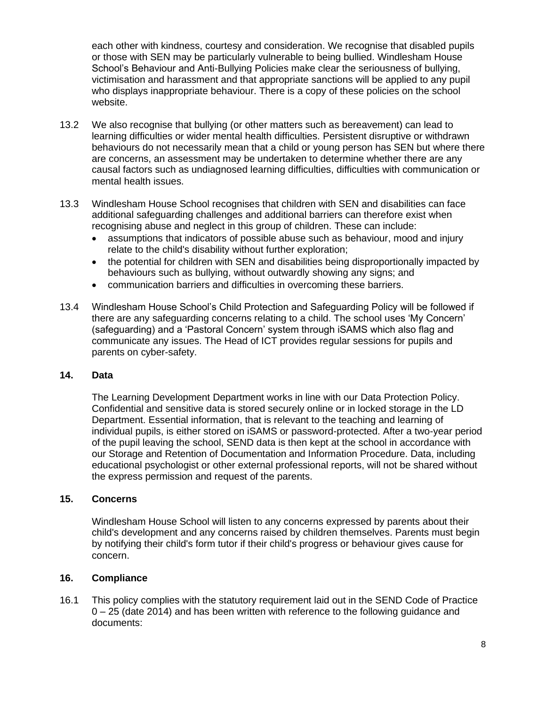each other with kindness, courtesy and consideration. We recognise that disabled pupils or those with SEN may be particularly vulnerable to being bullied. Windlesham House School's Behaviour and Anti-Bullying Policies make clear the seriousness of bullying, victimisation and harassment and that appropriate sanctions will be applied to any pupil who displays inappropriate behaviour. There is a copy of these policies on the school website.

- 13.2 We also recognise that bullying (or other matters such as bereavement) can lead to learning difficulties or wider mental health difficulties. Persistent disruptive or withdrawn behaviours do not necessarily mean that a child or young person has SEN but where there are concerns, an assessment may be undertaken to determine whether there are any causal factors such as undiagnosed learning difficulties, difficulties with communication or mental health issues.
- 13.3 Windlesham House School recognises that children with SEN and disabilities can face additional safeguarding challenges and additional barriers can therefore exist when recognising abuse and neglect in this group of children. These can include:
	- assumptions that indicators of possible abuse such as behaviour, mood and injury relate to the child's disability without further exploration;
	- the potential for children with SEN and disabilities being disproportionally impacted by behaviours such as bullying, without outwardly showing any signs; and
	- communication barriers and difficulties in overcoming these barriers.
- 13.4 Windlesham House School's Child Protection and Safeguarding Policy will be followed if there are any safeguarding concerns relating to a child. The school uses 'My Concern' (safeguarding) and a 'Pastoral Concern' system through iSAMS which also flag and communicate any issues. The Head of ICT provides regular sessions for pupils and parents on cyber-safety.

#### **14. Data**

The Learning Development Department works in line with our Data Protection Policy. Confidential and sensitive data is stored securely online or in locked storage in the LD Department. Essential information, that is relevant to the teaching and learning of individual pupils, is either stored on iSAMS or password-protected. After a two-year period of the pupil leaving the school, SEND data is then kept at the school in accordance with our Storage and Retention of Documentation and Information Procedure. Data, including educational psychologist or other external professional reports, will not be shared without the express permission and request of the parents.

#### **15. Concerns**

Windlesham House School will listen to any concerns expressed by parents about their child's development and any concerns raised by children themselves. Parents must begin by notifying their child's form tutor if their child's progress or behaviour gives cause for concern.

#### **16. Compliance**

16.1 This policy complies with the statutory requirement laid out in the SEND Code of Practice 0 – 25 (date 2014) and has been written with reference to the following guidance and documents: